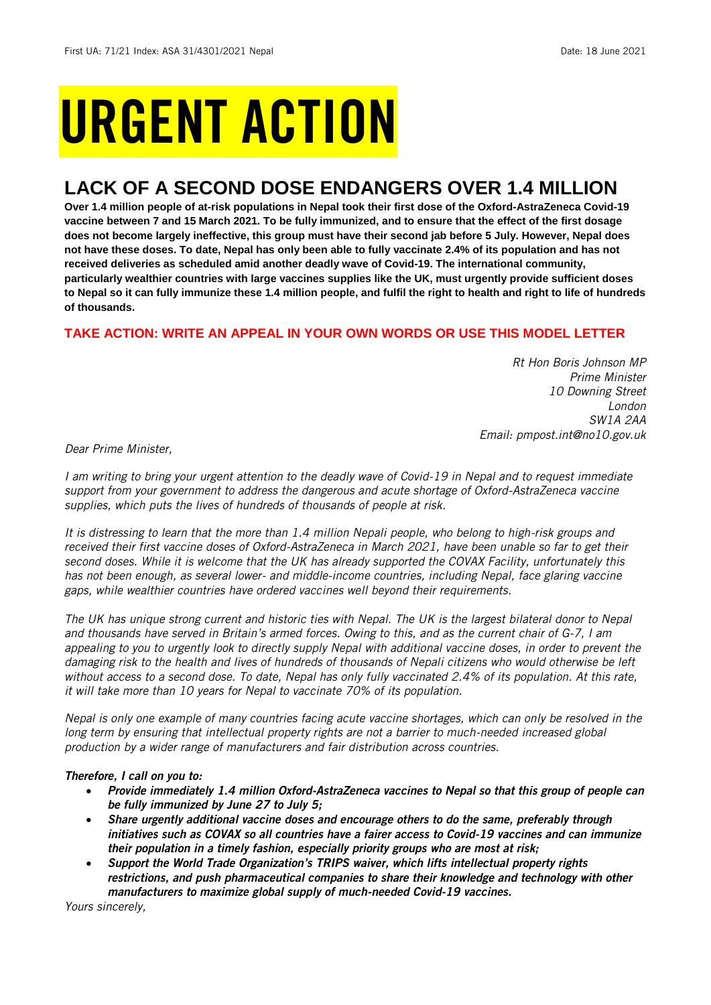# URGENT ACTION

## **LACK OF A SECOND DOSE ENDANGERS OVER 1.4 MILLION**

**Over 1.4 million people of at-risk populations in Nepal took their first dose of the Oxford-AstraZeneca Covid-19 vaccine between 7 and 15 March 2021. To be fully immunized, and to ensure that the effect of the first dosage does not become largely ineffective, this group must have their second jab before 5 July. However, Nepal does not have these doses. To date, Nepal has only been able to fully vaccinate 2.4% of its population and has not received deliveries as scheduled amid another deadly wave of Covid-19. The international community, particularly wealthier countries with large vaccines supplies like the UK, must urgently provide sufficient doses to Nepal so it can fully immunize these 1.4 million people, and fulfil the right to health and right to life of hundreds of thousands.** 

## **TAKE ACTION: WRITE AN APPEAL IN YOUR OWN WORDS OR USE THIS MODEL LETTER**

*Rt Hon Boris Johnson MP Prime Minister 10 Downing Street London SW1A 2AA Email: pmpost.int@no10.gov.uk*

*Dear Prime Minister,*

*I am writing to bring your urgent attention to the deadly wave of Covid-19 in Nepal and to request immediate support from your government to address the dangerous and acute shortage of Oxford-AstraZeneca vaccine supplies, which puts the lives of hundreds of thousands of people at risk.* 

*It is distressing to learn that the more than 1.4 million Nepali people, who belong to high-risk groups and received their first vaccine doses of Oxford-AstraZeneca in March 2021, have been unable so far to get their second doses. While it is welcome that the UK has already supported the COVAX Facility, unfortunately this has not been enough, as several lower- and middle-income countries, including Nepal, face glaring vaccine gaps, while wealthier countries have ordered vaccines well beyond their requirements.* 

*The UK has unique strong current and historic ties with Nepal. The UK is the largest bilateral donor to Nepal and thousands have served in Britain's armed forces. Owing to this, and as the current chair of G-7, I am appealing to you to urgently look to directly supply Nepal with additional vaccine doses, in order to prevent the damaging risk to the health and lives of hundreds of thousands of Nepali citizens who would otherwise be left*  without access to a second dose. To date, Nepal has only fully vaccinated 2.4% of its population. At this rate, *it will take more than 10 years for Nepal to vaccinate 70% of its population.*

*Nepal is only one example of many countries facing acute vaccine shortages, which can only be resolved in the long term by ensuring that intellectual property rights are not a barrier to much-needed increased global production by a wider range of manufacturers and fair distribution across countries.*

## *Therefore, I call on you to:*

- *Provide immediately 1.4 million Oxford-AstraZeneca vaccines to Nepal so that this group of people can be fully immunized by June 27 to July 5;*
- *Share urgently additional vaccine doses and encourage others to do the same, preferably through initiatives such as COVAX so all countries have a fairer access to Covid-19 vaccines and can immunize their population in a timely fashion, especially priority groups who are most at risk;*
- *Support the World Trade Organization's TRIPS waiver, which lifts intellectual property rights restrictions, and push pharmaceutical companies to share their knowledge and technology with other manufacturers to maximize global supply of much-needed Covid-19 vaccines.*

*Yours sincerely,*